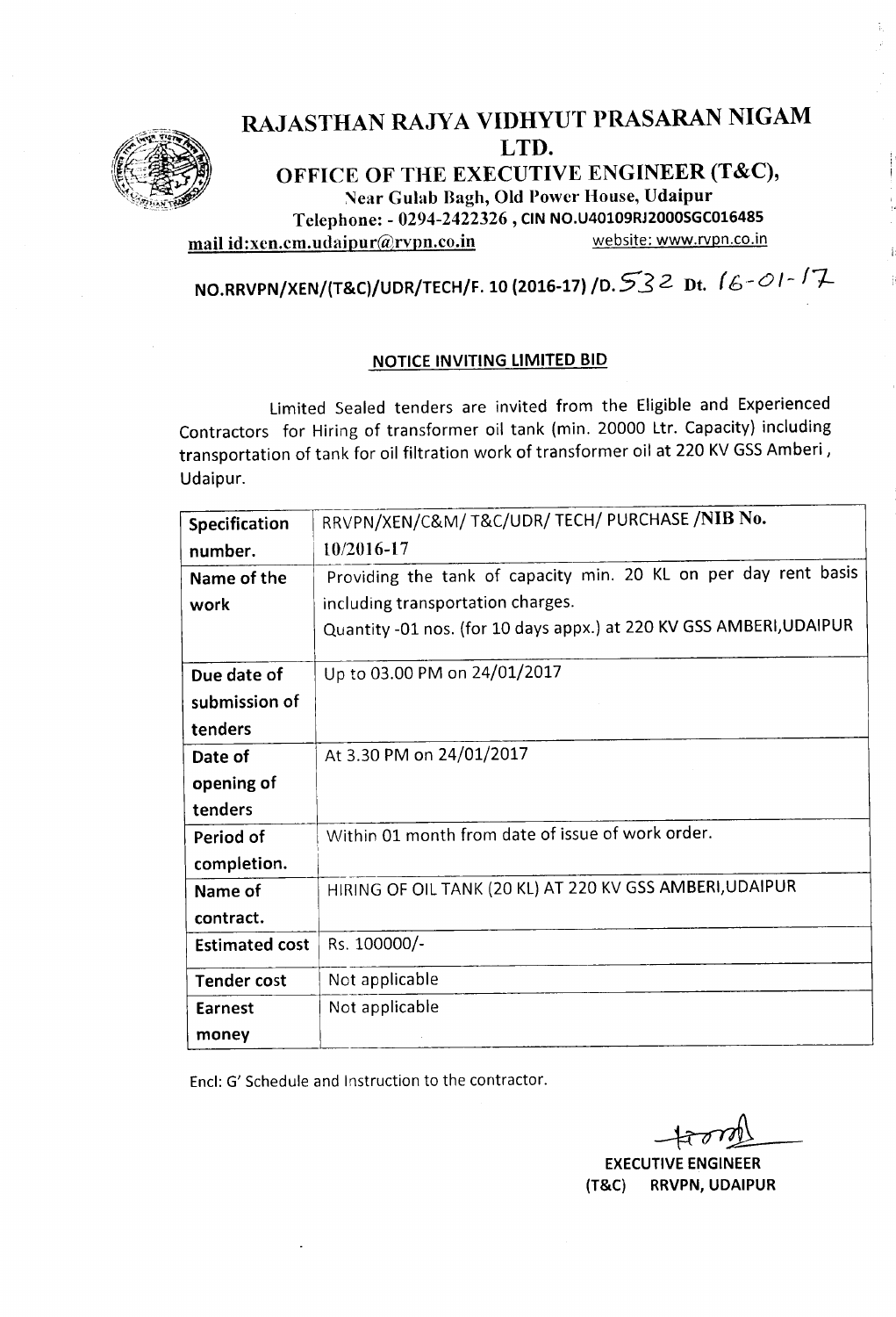

## RAJASTHAN RAJYA VIDHYUT PRASARAN NIGAM LTD.

OFFICE OF THE EXECUTIVE ENGINEER (T&C), Near Gulab Bagh, Old Power House, Udaipur Telephone: - 0294-2422326 , CIN NO.U40109RJ2000SGC016485 mail id:xen.cm.udaipur@rvpn.co.in website: www.rvpn.co.in

NO.RRVPN/XEN/(T&C)/UDR/TECH/F. <sup>10</sup> (2016-17) /0.5'32 Dt. (6 -*0<sup>l</sup> : 17-*

#### NOTICE INVITING LIMITED BID

Limited Sealed tenders are invited from the Eligible and Experienced Contractors for Hiring of transformer oil tank (min. 20000 Ltr. Capacity) including transportation of tank for oil filtration work of transformer oil at 220 KV GSS Amberi, Udaipur.

| Specification         | RRVPN/XEN/C&M/ T&C/UDR/ TECH/ PURCHASE /NIB No.                     |  |  |  |
|-----------------------|---------------------------------------------------------------------|--|--|--|
| number.               | 10/2016-17                                                          |  |  |  |
| Name of the           | Providing the tank of capacity min. 20 KL on per day rent basis     |  |  |  |
| work                  | including transportation charges.                                   |  |  |  |
|                       | Quantity -01 nos. (for 10 days appx.) at 220 KV GSS AMBERI, UDAIPUR |  |  |  |
| Due date of           | Up to 03.00 PM on 24/01/2017                                        |  |  |  |
| submission of         |                                                                     |  |  |  |
| tenders               |                                                                     |  |  |  |
| Date of               | At 3.30 PM on 24/01/2017                                            |  |  |  |
| opening of            |                                                                     |  |  |  |
| tenders               |                                                                     |  |  |  |
| Period of             | Within 01 month from date of issue of work order.                   |  |  |  |
| completion.           |                                                                     |  |  |  |
| Name of               | HIRING OF OIL TANK (20 KL) AT 220 KV GSS AMBERI, UDAIPUR            |  |  |  |
| contract.             |                                                                     |  |  |  |
| <b>Estimated cost</b> | Rs. 100000/-                                                        |  |  |  |
| <b>Tender cost</b>    | Not applicable                                                      |  |  |  |
| <b>Earnest</b>        | Not applicable                                                      |  |  |  |
| money                 |                                                                     |  |  |  |

Encl: G' Schedule and Instruction to the contractor.

**EXECUTIVE ENGINEER** (T&C) RRVPN, UDAIPUR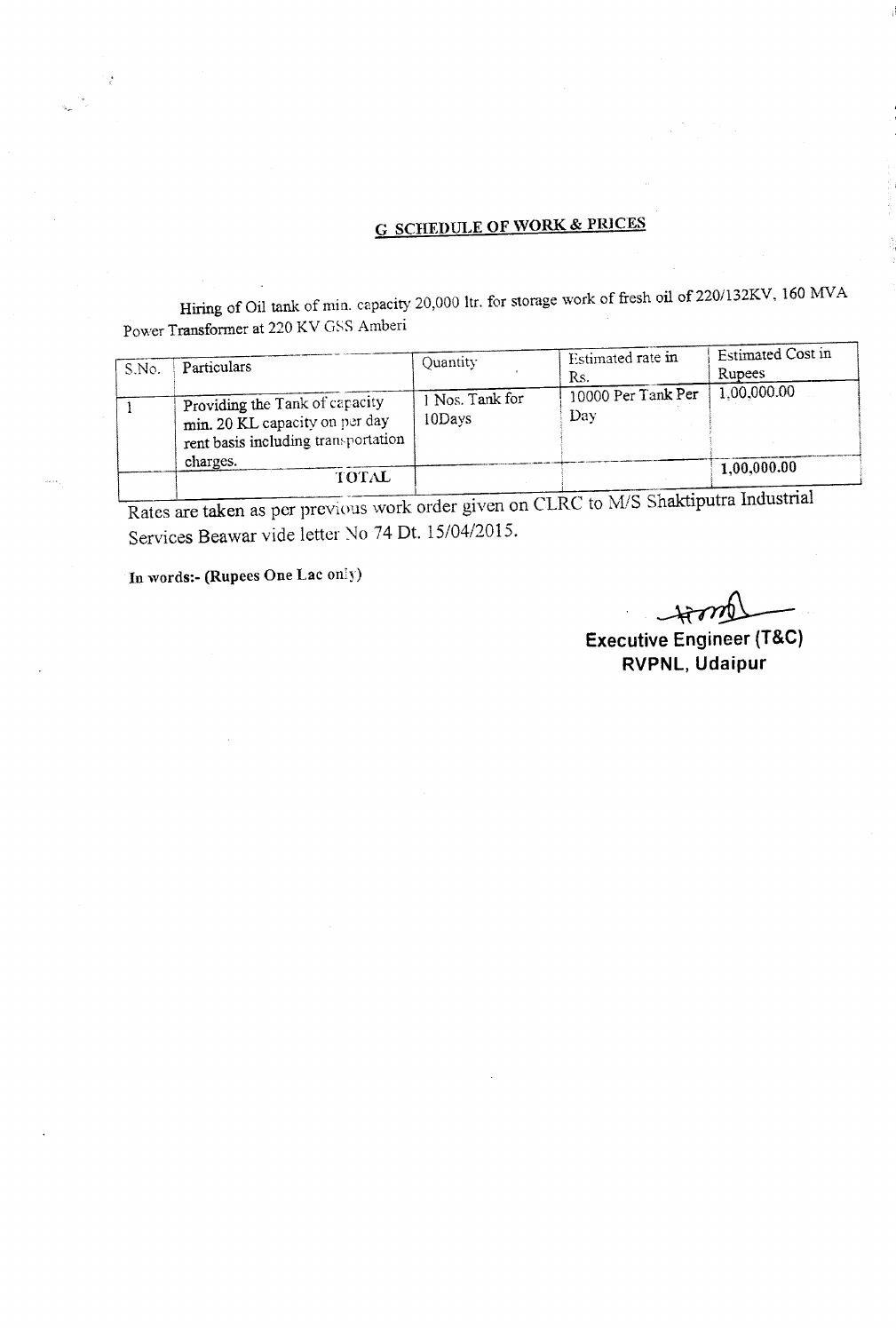# G SCHEDULE **OF WORK** & pmCES

Hiring of Oil tank of min, capacity 20,000 ltr, for storage work of fresh oil of 220/132KV, 160 MVA Power Transformer at 220 KV GSS Amberi

| S.No. | Particulars                                                                                                         | Ouantity                  | Estimated rate in<br>Rs.  | Estimated Cost in<br>Rupees |
|-------|---------------------------------------------------------------------------------------------------------------------|---------------------------|---------------------------|-----------------------------|
|       | Providing the Tank of capacity<br>min. 20 KL capacity on per day<br>rent basis including transportation<br>charges. | 1 Nos. Tank for<br>10Days | 10000 Per Tank Per<br>Day | 1.00,000.00<br>1,00,000.00  |
|       | TOTAL                                                                                                               |                           |                           |                             |

Rates are taken as per previous work order given on CLRC to M/S Shaktiputra Industrial Services Beawar vide letter No 74 Dt. *15/04/2015.*

In words:- (Rupees One Lac only)

 $-$ 

**Executive Engineer (T&C) RVPNL, Udaipur**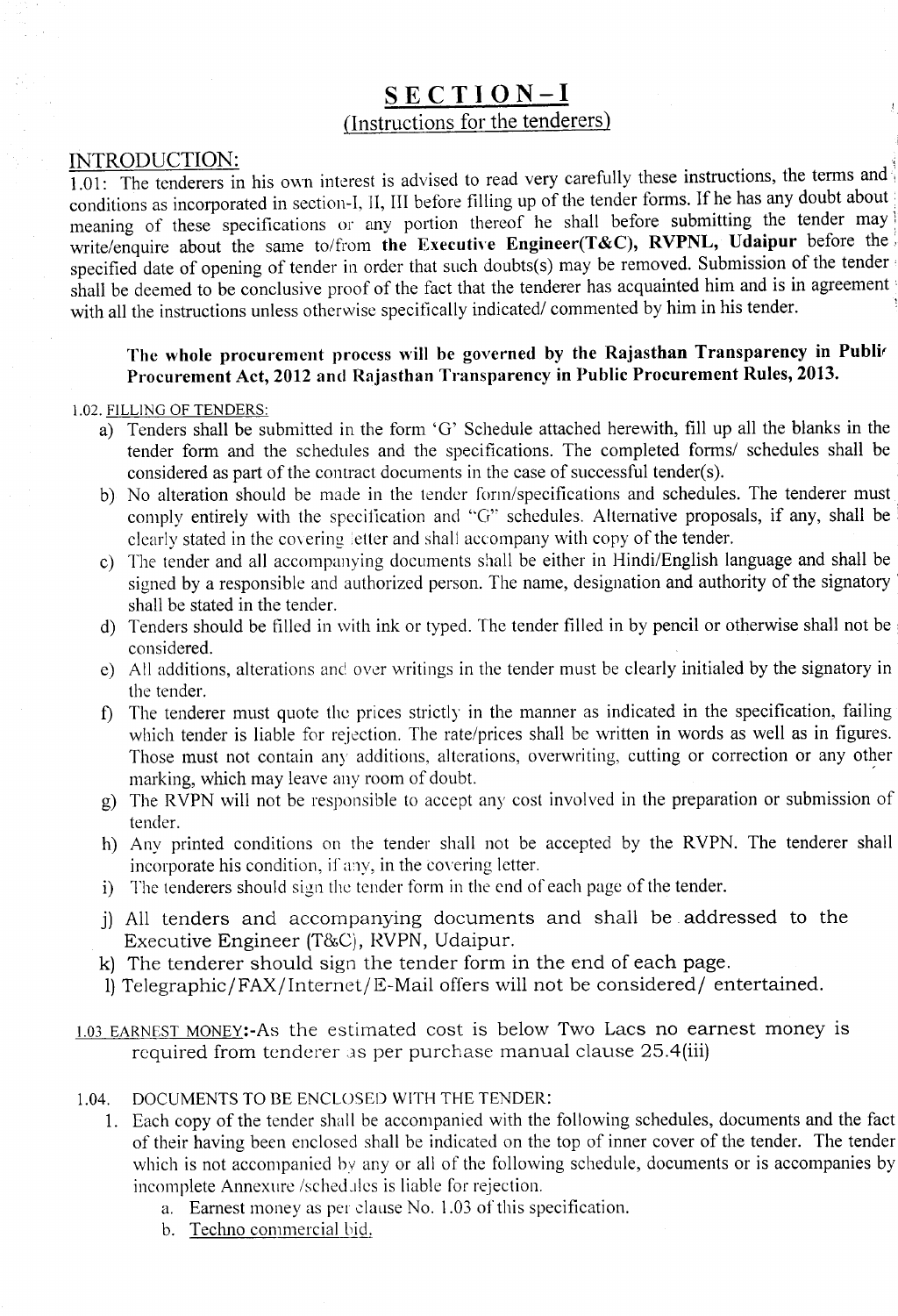## SECTION-I (Instructions for the tenderers)

### INTRODUCTION: '

 $1.01$ : The tenderers in his own interest is advised to read very carefully these instructions, the terms and conditions as incorporated in section-I, II, III before filling up of the tender forms. If he has any doubt about meaning of these specifications or any portion thereof he shall before submitting the tender may write/enquire about the same to/from the Executive Engineer(T&C), RVPNL, Udaipur before the specified date of opening of tender in order that such doubts(s) may be removed. Submission of the tender shall be deemed to be conclusive proof of the fact that the tenderer has acquainted him and is in agreement with all the instructions unless otherwise specifically indicated/ commented by him in his tender.

### The whole procurement process will be governed by the Rajasthan Transparency in Publir Procurement Act, 2012 and Rajasthan Transparency in Public Procurement Rules, 2013.

#### 1.02. FILLING OF TENDERS:

- a) Tenders shall be submitted in the form 'G' Schedule attached herewith, fill up all the blanks in the tender form and the schedules and the specifications. The completed forms/ schedules shall be considered as part of the contract documents in the case of successful tender(s).
- b) No alteration should be made in the tender form/specifications and schedules. The tenderer must comply entirely with the specification and "G" schedules. Alternative proposals, if any, shall be clearly stated in the covering letter and shall accompany with copy of the tender.
- c) The tender and all accompanying documents shall be either in Hindi/English language and shall be signed by a responsible and authorized person. The name, designation and authority of the signatory' shall be stated in the tender.
- d) Tenders should be filled in with ink or typed. The tender filled in by pencil or otherwise shall not be ' considered.
- e) All additions, alterations and over writings in the tender must be clearly initialed by the signatory in the tender.
- f) The tenderer must quote the prices strictly in the manner as indicated in the specification, failing which tender is liable for rejection. The rate/prices shall be written in words as well as in figures. Those must not contain any additions, alterations, overwriting, cutting or correction or any other marking, which may leave any room of doubt.
- g) The RVPN will not be responsible to accept any cost involved in the preparation or submission of tender.
- h) Any printed conditions on the tender shall not be accepted by the RVPN. The tenderer shall incorporate his condition, if any, in the covering letter.
- i) The tenderers should sign the tender form in the end of each page of the tender.
- j) All tenders and accompanying documents and shall be. addressed to the Executive Engineer (T&C), RVPN, Udaipur.
- k) The tenderer should sign the tender form in the end of each page.
- 1) Telegraphic/FAX/Internct/E-Mail offers will not be considered/ entertained.
- 1.03 EARNEST MONEY:-As the estimated cost is below Two Lacs no earnest money is required from tenderer as per purchase manual clause 25.4(iii)
- 1.04. DOCUMENTS TO BE ENCLOSED WITH THE TENDER:
	- 1. Each copy of the tender shall be accompanied with the following schedules, documents and the fact of their having been enclosed shall be indicated on the top of inner cover of the tender. The tender which is not accompanied by any or all of the following schedule, documents or is accompanies by incomplete Annexure /sched.ilcs is liable for rejection.
		- a. Earnest money as per clause No. 1.03 of this specification.
		- b. Techno commercial bid.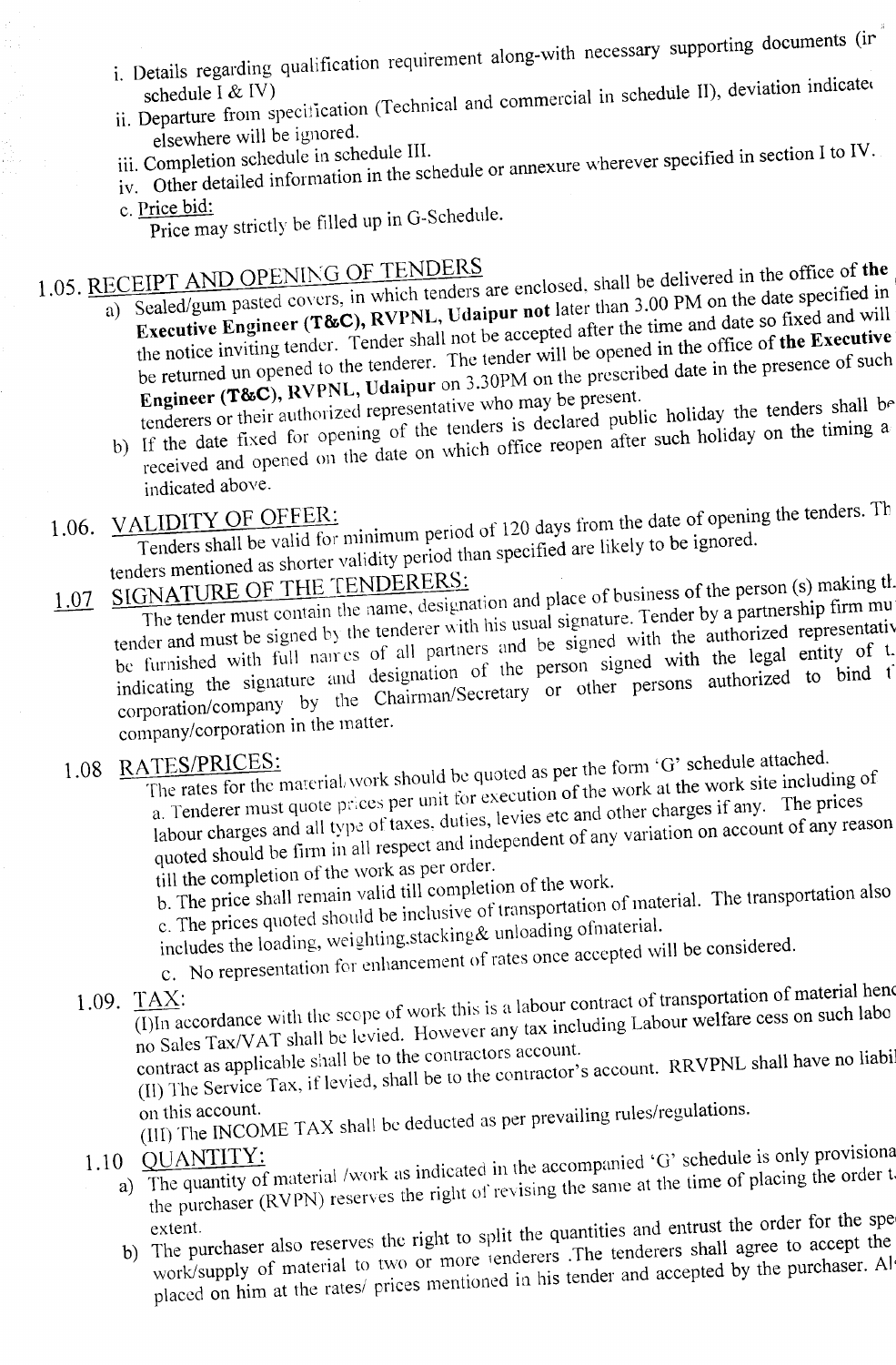- i. Details regarding qualification requirement along-with necessary supporting documents (ir
- ii. Departure from specification (Technical and commercial in schedule II), deviation indicated elsewhere will be ignored.
	-
- iv. Other detailed information in the schedule or annexure wherever specified in section I to IV.
- c. Price bid:
	- Price may strictly be filled up in G-Schedule.

1.05. RECEIPT AND OPENING OF TENDERS are enclosed, shall be delivered in the office of the  $(1, 0.05)$ . Sealed/gum pasied covers,  $\mathbb{R}^n$  RVPNL, Udaipur not later than 3.00 PM on the date specified and will **Executive Engineer (T&C), RVPNL, Udaipur not** later than 3.00 PM on the date specified in the notice inviting tender. Tender shall not be accepted after the time and date so fixed and will be returned un opened to the tenderer. The tender will be opened in the office of the Executive Engineer ( $T&C$ ), RVPNL, Udaipur on 3.30PM on the prescribed date in the presence of such

tenderers or their authorized representative who may be present.<br>If the date fixed for opening of the tenders is declared public holiday the tenders shall be<br>received and opened on the date on which office reopen after suc tenderers or their attrictive for  $\int$  of the tenders is declared public holiday on the timing a If the date fixed for opening date on which office reopen after such holiday

indicated above.

1.06. VALIDITY OF OFFER: The Tenders shall be valid for minimum period of 120 days from the date of opening the tenders. The Tenders shall be valid for minimum period of 120 days from the date of opening the tenders. tenders mentioned as shorter validity period than specified are likely to be ignored.

1.07 SIGNATURE OF THE TENDERERS:<br>The tender must contain the name, designation and place of business of the person (s) making the<br>tender and must be signed by the tenderer with his usual signature. Tender by a partnership The tender must concent  $\alpha$  the tenderer with his usual signature. Tender by a partner of representative  $\alpha$  is the full names of all partners and be signed with the authorized representative of representative of representative of  $\alpha$ indicating the signature and designation of the person signed with the legal entity of L corporation/company by the Chairman/Secretary or other persons authorized to bind f company/corporation in the matter.

1.08 RATES/PRICES:<br>The rates for the material/work should be quoted as per the form 'G' schedule attached. a. Tenderer must quote prices per unit for execution of the work at the work site including of labour charges and all type of taxes, duties, levies etc and other charges if any. The prices quoted should be firm in all respect and independent of any variation on account of any reason

till the completion of the work as per order.

b. The price shall remain valid till completion of the work. c. The prices quoted should be inclusive of transportation of material. The transportation also

includes the loading, weighting,stacking& unloading ofmaterial.

c. No representation for enhancement of rates once accepted will be considered.

1.09.  $\frac{TAX}{(I) \ln$  accordance with the scope of work this is a labour contract of transportation of material hence no Sales Tax/V AT shall be levied. However any tax including Labour welfare cess on such labo

contract as applicable shall be to the contractors account. ([I) The Service Tax, iflevied. shall be to the contractor's account. RRVPNL shall have no liabi

on this account. (III) The INCOME TAX shall be deducted as per prevailing rules/regulations.

- 1.10 QUANTITY:<br>a) The quantity of material /work as indicated in the accompanied 'G' schedule is only provisional the purchaser (RVPN) reserves the right of revising the same at the time of placing the order t
	- b) The purchaser also reserves the right to split the quantities and entrust the order for the spe work/supply of material to two or more lenderers. The tenderers shall agree to accept the placed on him at the rates/ prices mentioned in his tender and accepted by the purchaser. All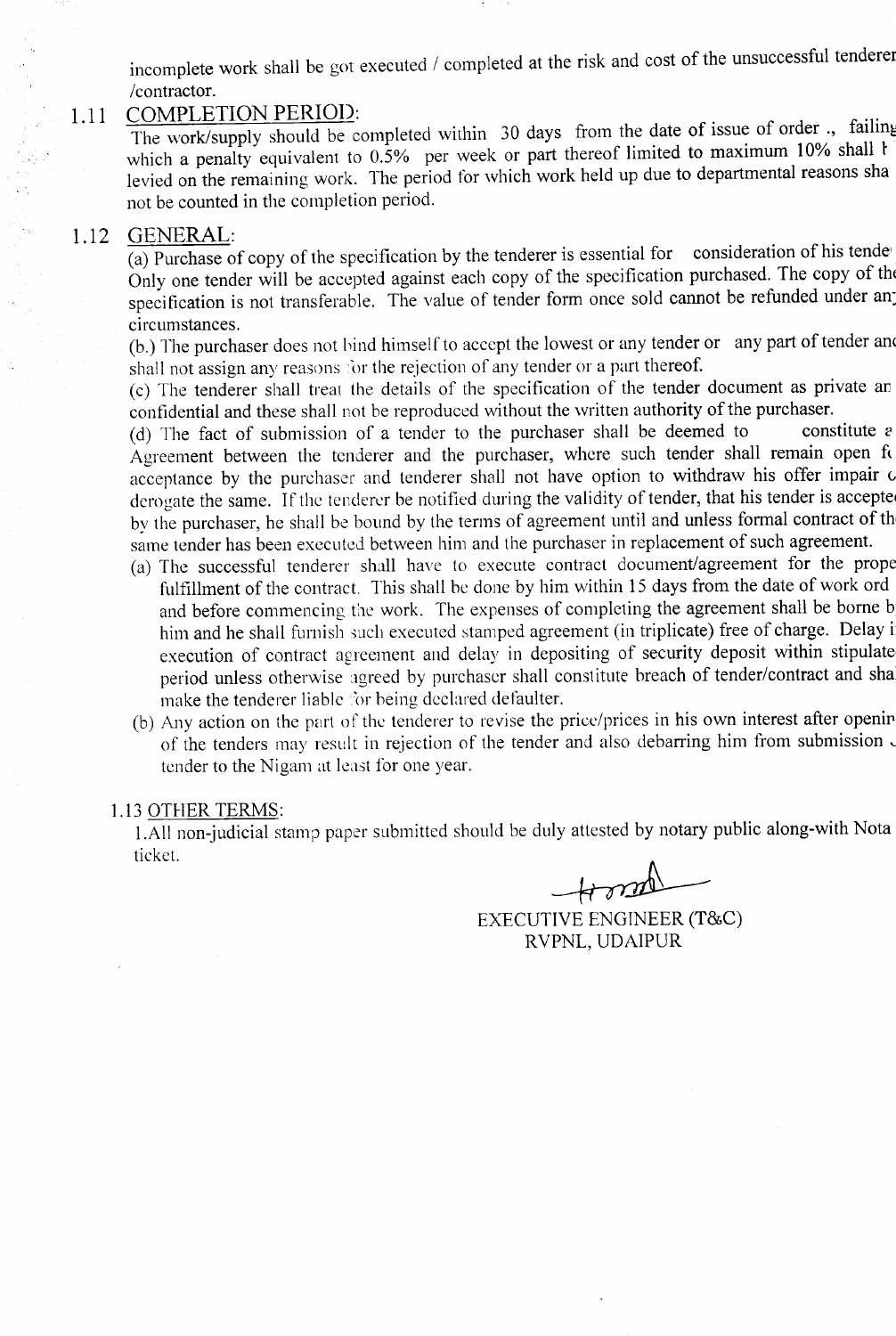incomplete work shall be got executed / completed at the risk and cost of the unsuccessful tenderer /contractor.

#### 1.11 COMPLETION PERIOD:

The work/supply should be completed within 30 days from the date of issue of order., failing which a penalty equivalent to 0.5% per week or part thereof limited to maximum 10% shall t levied on the remaining work. The period for which work held up due to departmental reasons sha not be counted in the completion period.

#### 1.12 GENERAL:

(a) Purchase of copy of the specification by the tenderer is essential for consideration of his tende Only one tender will be accepted against each copy of the specification purchased. The copy of tht specification is not transferable. The value of tender form once sold cannot be refunded under an: circumstances.

(b.) The purchaser does not bind himself to accept the lowest or any tender or any part of tender and shall not assign any reasons for the rejection of any tender or a part thereof.

(c) The tenderer shall treat the details of the specification of the tender document as private an confidential and these shall not be reproduced without the written authority of the purchaser.

(d) The fact of submission of a tender to the purchaser shall be deemed to constitute  $e$ Agreement between the tenderer and the purchaser, where such tender shall remain open fo acceptance by the purchaser and tenderer shall not have option to withdraw his offer impair  $\alpha$ derogate the same. If the tenderer be notified during the validity of tender, that his tender is accepte by the purchaser, he shall be bound by the terms of agreement until and unless formal contract of th same tender has been executed between him and the purchaser in replacement of such agreement.

- (a) The successful tenderer shall have to execute contract document/agreement for the prope fulfillment of the contract. This shall be done by him within 15 days from the date of work ord and before commencing the work. The expenses of completing the agreement shall be borne b him and he shall furnish such executed stamped agreement (in triplicate) free of charge. Delay i execution of contract agreement and delay in depositing of security deposit within stipulate period unless otherwise agreed by purchaser shall constitute breach of tender/contract and sha make the tenderer liable 'or being declared defaulter.
- (b) Any action on the part 0f the tenderer to revise the price/prices in his own interest after openir of the tenders may result in rejection of the tender and also debarring him from submission. tender to the Nigam at least for one year.

#### 1.13 OTHER TERMS:

I.AlI non-judicial stamp paper submitted should be duly attested by notary public along-with Nota ticket.

~ EXECUTIVE ENGINEER (T&C) RVPNL, UDAIPUR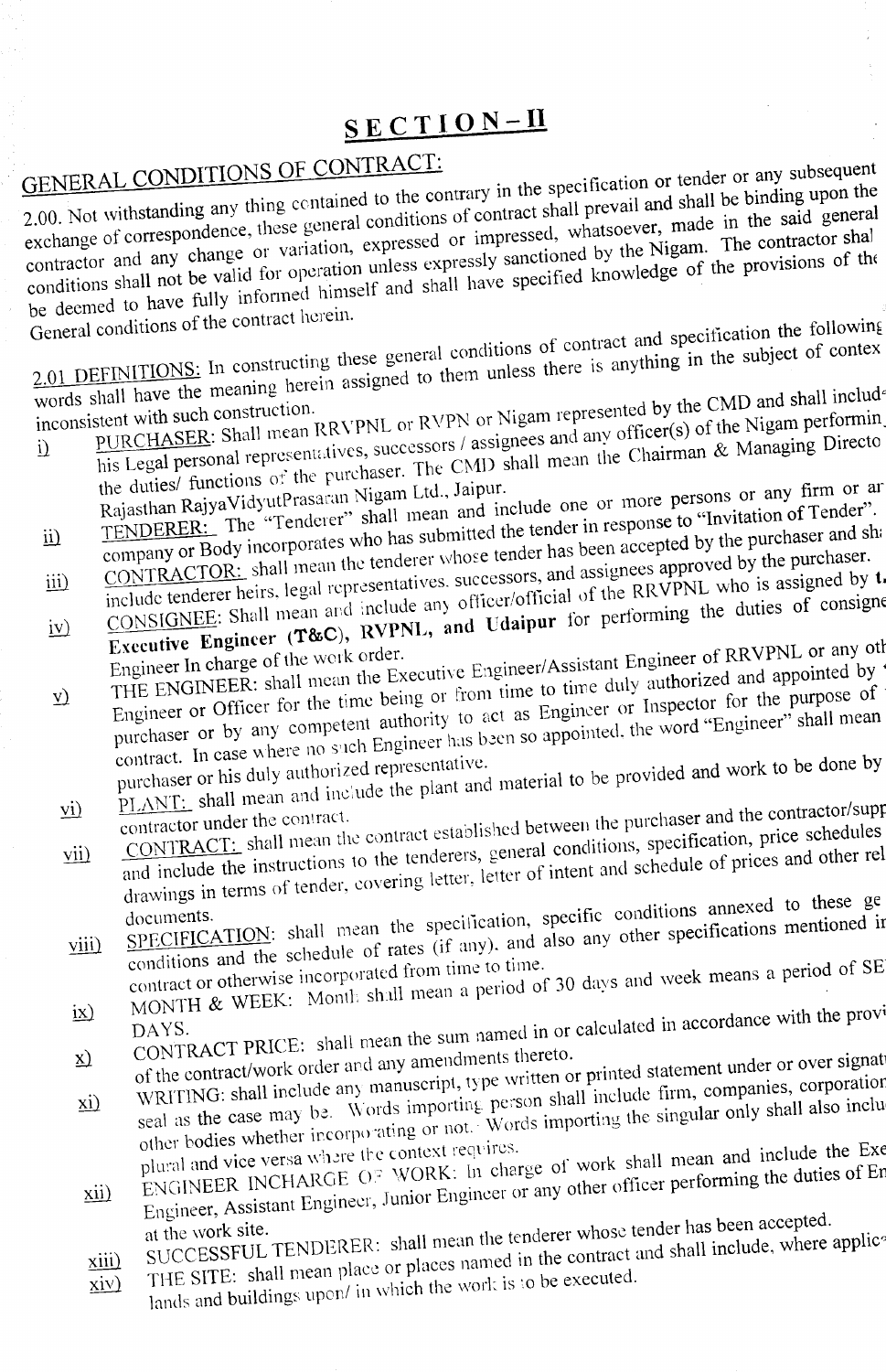# **SECTION-II**

# **GENERAL CONDITIONS OF CONTRACT:**

2.000. The contained to the contrary in the specification or evaluate he binding upon the 2.00. Not withstanding any analogue general conditions of contract shall prevail and shall be said general  $\epsilon$ exchange of correspondence, these general conditions of contract shall prevail and shall be binding upon the exchange or variation, expressed or impressed, whatsoever, made in the said general contractor and any change or contractor and any change or variation, expressed or impressed, whatsoever, made in the said general be deep to the deep to have function of the provision of the provisions of the provision of the provision of the provisions of the provisions of the provisions of the provisions of the provisions of the provisions of the p

General conditions of the contract herein.<br>  $2.01$  DEFINITIONS: In constructing these general conditions of contract and specification the following<br>
words shall have the meaning herein assigned to them unless there is an  $\frac{1}{2}$  beging these general conditions of contract and species the subject of context  $2.01$  DEFINITIONS: In constructing assigned to them unless there is any  $\frac{1}{100}$ 

inconsistent with such construction.<br>inconsistent with such construction.  $BRYPNL$  or RVPN or Nigam represented by the CMD and shall included

- his Legal personal representatives, successors / assignees and any officer(s) of the Nigam performin<br>the duties/ functions of the purchaser. The CMD shall mean the Chairman & Managing Directo<br>Rajasthan Rajya VidyutPrasaran  $h_{\text{PURCHASEK}}$ . Shan mean represents and all any officer(s) of  $\kappa$  Managing Director  $\mathbf{i}$ Rajasthan Rajya VidyutPrasaran Nigam Ltd., Jaipur. ill The original persons or any firm of an equal to "Tender".
- TENDERER: The Tender of the has submitted the tender in response to the nurchaser and s
- III TENDERER: The "Tenderer" shall mean and include one of more persons of any time of the company or Body incorporates who has submitted the tender in response to "Invitation of Tender".<br>
CONTRACTOR: shall mean the tender ii) CONTRACTORS: The constant of the RRVPNL who is assigned by the include tenderer heirs, legal representatives. successors, and assigned of the RRVPNL who is assigned by the consigned by the constant of consigned  $\alpha$ .
- CONTRACTOR: shall mean the tenderer whose tender has been accepted by the purchaser and shipped include tenderer heirs, legal representatives. successors, and assignees approved by the purchaser.<br>CONSIGNEE: Shall mean and CONSIGNEE: Shall mean and the specific Line of considering the duties of considering the duties of considering  $\cos \theta$  $iv)$

Engineer In charge of the work order.<br>Engineer/Assistant Engineer of RRVPINE or any other care is the state of the state of the state of the state of

Engineer or Officer for the time being or from time to time duly authorized and appointed by 'purchaser or by any competent authority to act as Engineer or Inspector for the purpose of contract. In case where no such Engin purchaser or by any competent authority to act as Engineer or Inspector for the purpose of contract. In case where no such Engineer has been so appointed, the word "Engineer" shall mean purchaser or his duly authorized rep THE ENGINEER, shall from  $\frac{1}{2}$  being or from time to time duly authorized for the purpose of  $\frac{1}{2}$  $\underline{v}$ 

PLANT: shall mean and include the plant and material to be provided and work to be done by

- $\epsilon$  contractor under the contract.  $\epsilon$  contracted established between the purchaser and the contractor  $\epsilon$ -
- and include the instructions to the tenderers, general conditions, specification, price schedules drawings in terms of tender, covering letter, letter of intent and schedule of prices and other rel  $vii)$  $\frac{\text{CONIRALI: Shatt linear}}{\text{CONIRALI: Shatt linear}}$  the tenderers, general conditions, specification, prices and other re

conditions and the schedule of rates (if any), and also any other specifications mentioned in contract or otherwise incorporated from time to time.<br>MONTH & WEEK: Month shall mean a period of 30 days and week means a period documents.  $\frac{1}{2}$   $\frac{1}{2}$   $\frac{1}{2}$   $\frac{1}{2}$   $\frac{1}{2}$   $\frac{1}{2}$   $\frac{1}{2}$   $\frac{1}{2}$   $\frac{1}{2}$   $\frac{1}{2}$   $\frac{1}{2}$   $\frac{1}{2}$   $\frac{1}{2}$   $\frac{1}{2}$   $\frac{1}{2}$   $\frac{1}{2}$   $\frac{1}{2}$   $\frac{1}{2}$   $\frac{1}{2}$   $\frac{1}{2}$   $\frac{1}{2}$   $viii)$  $SPECHICATION$ . Sharple of rates (if any), and also any other specifications measurements of rates (if any), and also any other specification

- 
- CONTRACT PRICE: shall mean the sum named in or calculated in accordance with the provided of the contract/work order and any amendments thereto.  $i x$ )
- $\sum_{\text{of the contract/work order and any amenaments interior}}$  of the contract/work order and any amendments thereto.
- seal as the case may be. Words importing person shall include firm, companies, corporation<br>other bodies whether incorporating or not.: Words importing the singular only shall also inclu<br>plural and vice versa where the cont WRITING: shall include  $m<sub>z</sub>$  words importing person shall include firm, companies, coronation when  $\underline{\mathbf{x}}$ plural and vice versa where the context requires.<br>Blural and vice versa where  $\Omega$ . WORK: In charge of work shall mean and include the Ext
- Engineer, Assistant Engineer, Junior Engineer or any other officer performing the duties of Engineer.  $xii)$
- SUCCESSFUL TENDERER: shall mean the tenderer whose tender has been accepted.
- xiii) SUCCESSFUL TENDERER: shall mean the tenderer whose tender has been accreted<br>THE SITE: shall mean place or places named in the contract and shall include, where applice
- lands and buildings upon/ in which the work is to be executed.  $\dot{x}$   $\dot{y}$
-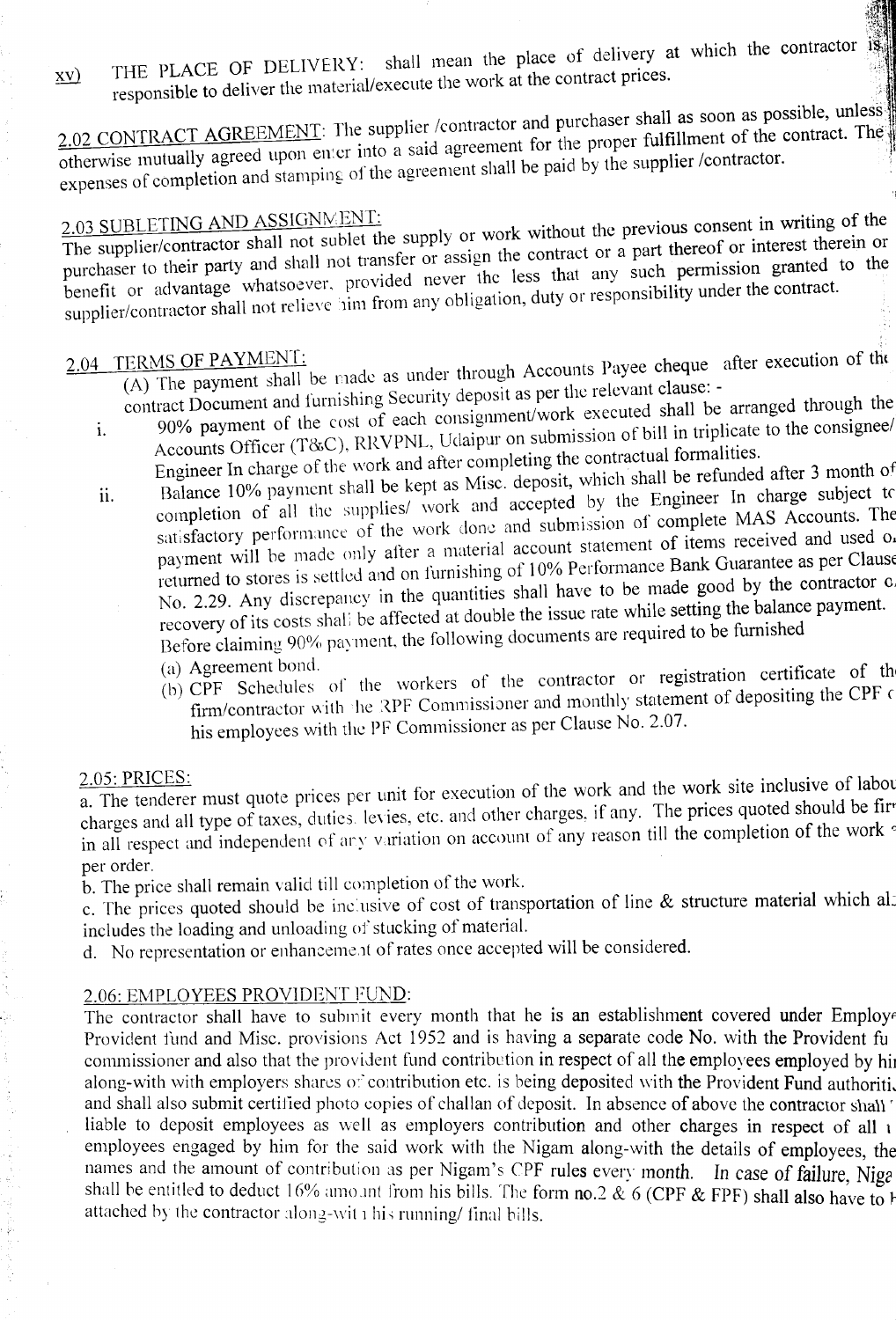$x(y)$  THE PLACE OF DELIVERY: shall mean the place of delivery at which the contractor is responsible to deliver the material/execute the work at the contract prices.

2.02 CONTRACT AGREEMENT: The supplier /contractor and purchaser shall as soon as possible, unless  $\underline{2.02}$  CONTRACT AGREEMENT: The supplier contractor and percently fulfillment of the contract. The straighter experiment for the proper fulfillment of the contract. The expenses of completion and stamping of the agreement shall be paid by the supplier /contractor.

2.03 SUBLETING AND ASSIGNMENT:<br>The supplier shall not sublet the supply or work without the previous consent in writing of the purchaser to their party and shall not transfer or assign the contract or a part thereof or interest therein or benefit or advantage whatsoever. provided never the less that any such permission granted to the supplier/contractor shall not relieve him from any obligation, duty or responsibility under the contract.

- 2.04 TERMS OF PAYMENT:<br>(A) The payment shall be made as under through Accounts Payee cheque after execution of the contract Document and furnishing Security deposit as per the relevant clause: -
	- 1. 90% payment of the cost of each consignment/work executed shall be arranged through the<br>Element of bill in triplicate to the consignee/ Accounts Officer (T&C). RRVPNL. Udaipur on submission of bill in triplicate to the consignee/ Engineer In charge of the work and after completing the contractual formalities.
	- ii. Balance 10% payment shall be kept as Misc. deposit, which shall be refunded after 3 month of completion of all the supplies/ work and accepted by the Engineer In charge subject to satisfactory performance of the work done and submission of complete MAS Accounts. The payment will be made only after a material account statement of items received and used on returned to stores is settled and on furnishing of 10% Performance Bank Guarantee as per Clause No. 2.29. Any discrepancy in the quantities shall have to be made good by the contractor of recovery of its costs shall be affected at double the issue rate while setting the balance payment. Before claiming 90% payment, the following documents are required to be furnished
		- (a) Agreement bond.
		- (b) CPF Schedules of the workers of the contractor or registration certificate of th firm/contractor with the RPF Commissioner and monthly statement of depositing the CPF of his employees with the PF Commissioner as per Clause No. 2.07.

#### <u> 2.05: PRICES</u>

 $\overline{a}$ . The tenderer must quote prices per unit for execution of the work and the work site inclusive of labor charges and all type of taxes, duties. levies, etc. and other charges, if any. The prices quoted should be firin all respect and independent of ary variation on account of any reason till the completion of the work <sup>c</sup> per order.

b. The price shall remain valid till completion of the work.

e. The prices quoted should be inclusive of cost of transportation of line & structure material which also includes the loading and unloading of stucking of material.

d. No representation or enhancement of rates once accepted will be considered.

#### 2.06: EMPLOYEES PROVIDENT FUND:

The contractor shall have to submit every month that he is an establishment covered under Employe Provident fund and Misc. provisions Act 1952 and is having a separate code No. with the Provident fu commissioner and also that the provident fund contribution in respect of all the employees employed by h along-with with employers shares of contribution etc. is being deposited with the Provident Fund authoriti, and shall also submit certified photo copies of challan of deposit. In absence of above the contractor shall liable to deposit employees as well as employers contribution and other charges in respect of all i employees engaged by him for the said work with the Nigam along-with the details of employees, the<br>names and the amount of contribution as per Nigam's CPF rules every month . In case of follow Niga  $s$ hall be entitled to deduct  $16\%$  amo intervals hills. The form no 2 & 6 (CDE & EDE) shall at  $\frac{1}{2}$ attached by the contractor  $10/6$  attroving tront ins ones. The form no.2  $\alpha$  6 (CPF  $\alpha$  FPF) shall also has attached by the contractor along-with his running/ final bills.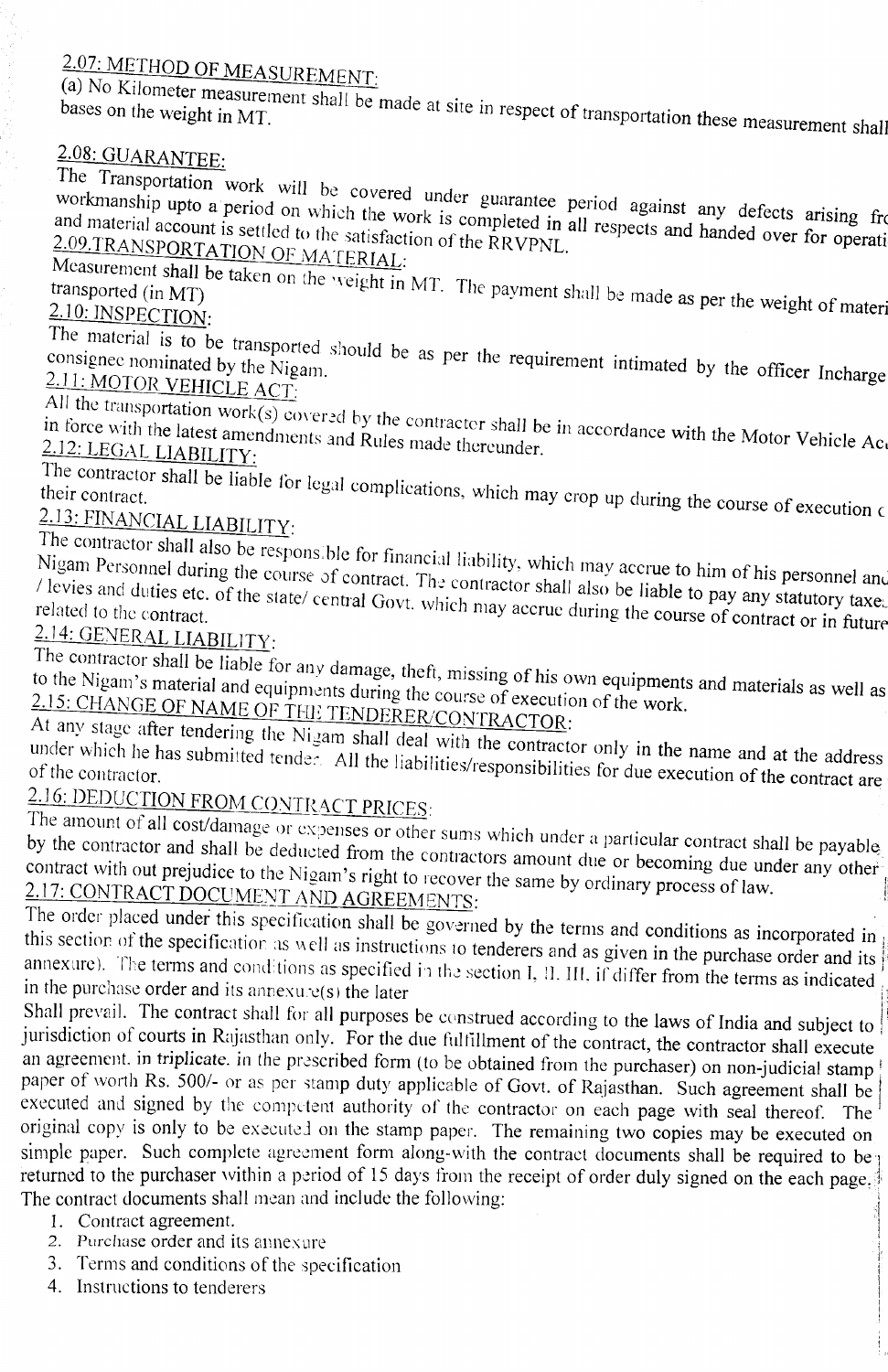# 2.07: METHOD OF MEASUREMENT:

(a) No Kilometer measurement shall be made at site in respect of transportation these measurement shall

## 2.08: GUARANTEE:

The Transportation work will be covered under guarantee period against any defects arising from workmanship upto a period on which the work is completed in all respects and handed over for operation and material account is workmanship upto a period on which the work is completed in all respects and handed over for operation 2.09.TRANSPORTATION OF MATERIAL:

Measurement shall be taken on the *veight* in MT. The payment shall be made as per the weight of materi

2.10: INSPECTION:

The material is to be transported should be as per the requirement intimated by the officer Incharge 2. <sup>J</sup> J: MOTOR VEHICLE *ACT:*

in force with the latest survey covered by the contracter shall be in accordance with the Motor Vehicle Ac, when In force with the latest amendments and Rules made thereunder. in force with the latest amendments and Rules made thereunder.<br>2.12: LEGAL LIABILITY:

The contractor shall be liable for legal complications, which may crop up during the course of execution (

# 2.] 3: FINANCIAL LIABILITY:

 $N$ igam Personnel during the cospons.blc for financial liability, which may accrue to him of  $\mu$ .

If  $\alpha$  is and during the course of contract. The contractor shall also be liable to pay any statutory taxe. *I* levies and duties etc. of the *state*/ central Govt. which may accrue during the course of contract or in future relationships the course of contract or in future 2.14: GENERAL LIABILITY:

The  $\frac{1}{2}$  shall be liable for any damage, theft, missing of his own equipments and materials as well as well as well as well as well as well as well as well as well as well as well as well as well as well as well as w to the inguit s material and equipments during the course of execution of the work. to the Nigam's material and equipments during the course of execution of the work.<br>2.15: CHANGE OF NAME OF THE TENDERER/CONTRACTOR:

At any stage after tendering the Nigam shall deal with the contractor only in the name and at the address under which he has submitted tender. All the liabilities/responsibilities for due execution of the contract are

# 2.16: DEDUCTION FROM CONTRACT PRICES:

The amount of all cost/damage or expenses or other sums which under a particular contract shall be payable by the contractor and shall be deducted from the contractors amount due or becoming due under any other contract with out prejudice to the Nigam's right to recover the same by ordinary process of law.<br>2.17: CONTRACT DOCUMENT AND AGREEMENTS: 2.17: CONTRACT DOCUME:'-JT AND AGREEMENTS: ... .:

The order placed under this specification shall be governed by the terms and conditions as incorporated in this section of the specification as well as instructions to tenderers and as given in the purchase order and its annexure). The terms and conditions as specified in the section I, II. III, if differ from the terms as indicated in the purchase order and its annexure(s) the later

Shall prevail. The contract shall for all purposes be construed according to the laws of India and subject to jurisdiction of courts in Rajasthan only. For the due fulfillment of the contract, the contractor shall execute an agreement, in triplicate, in the prescribed form (to be obtained from the purchaser) on non-judicial stamp paper of worth Rs. 500/- or as per stamp duty applicable of Govt. of Rajasthan. Such agreement shall be executed and signed by the competent authority of the contractor on each page with seal thereof. The original copy is only to be executed on the stamp paper. The remaining two copies may be executed on singled paper. Such complete agreement form along-with the contract documents shall be required to be returned to the purchaser within a period of 15 days from the receipt of order duly signed on the each page. returned to the purchaser within a period of 15 days from the receipt of order duly signed on the each page. The contract documents shall mean and include the following:

- 1. Contract agreement.
- 2. Purchase order and its annexure
- 3. Terms and conditions of the specification
- 4. Instructions to tenderers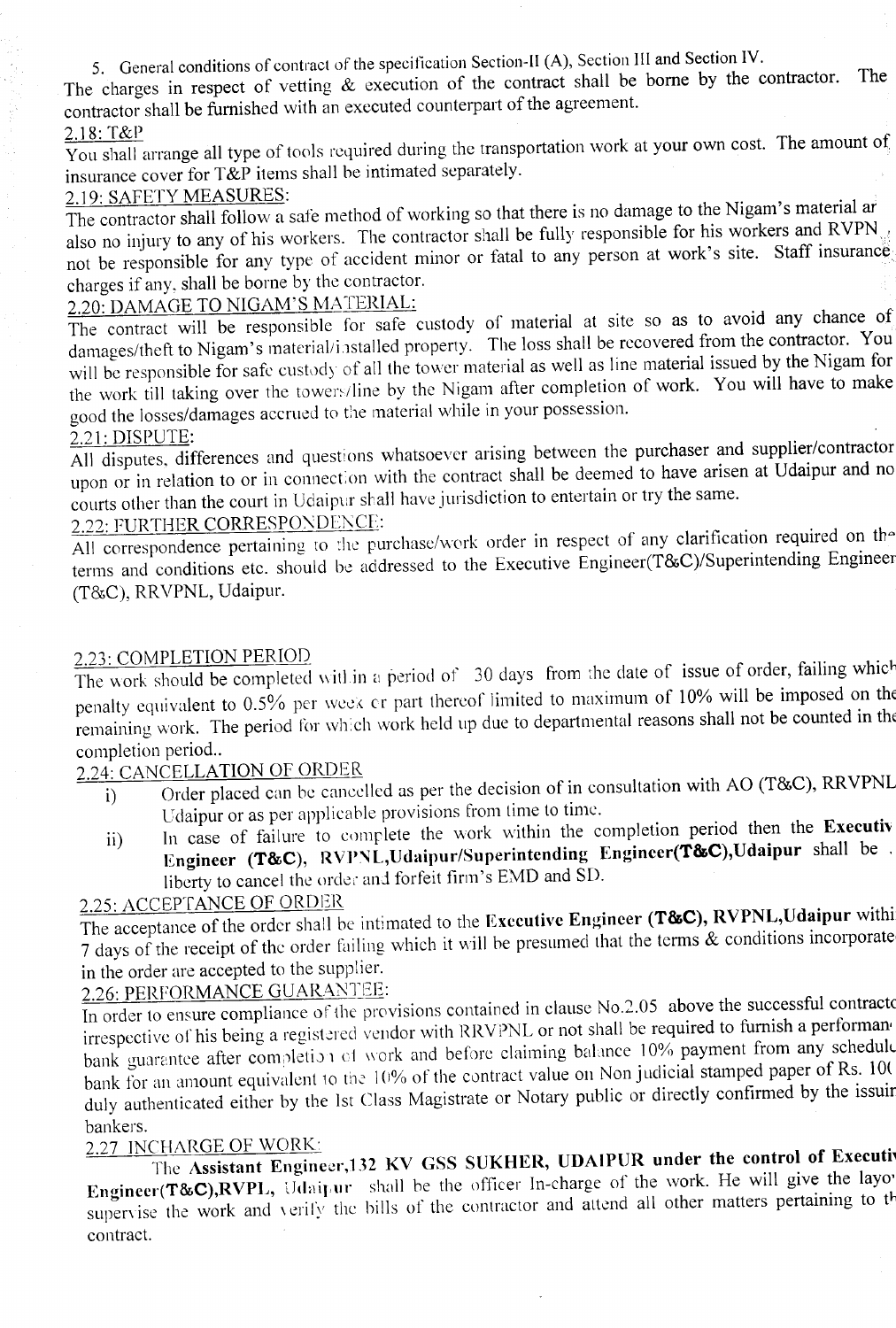5. General conditions of contract of the specification Section-II (A), Section III and Section IV.

The charges in respect of vetting & execution of the contract shall be borne by the contractor. The contractor shall be furnished with an executed counterpart of the agreement.

### 2.] 8: T&P

You shall arrange all type of tools required during the transportation work at your own cost. The amount of insurance cover for T&P items shall be intimated separately.

### 2.19: SAFETY MEASURES:

The contractor shall follow a safe method of working so that there is no damage to the Nigam's material ar also no injury to any of his workers. The contractor shall be fully responsible for his workers and RVPN not be responsible for any type of accident minor or fatal to any person at work's site. Staff insurance charges if any, shall be borne by the contractor.

### 2.20: DAMAGE TO NIGAM'S MATERIAL:

The contract will be responsible for safe custody of material at site so as to avoid any chance of damages/theft to Nigam's material/installed property. The loss shall be recovered from the contractor. You will be responsible for safe custody of all the tower material as well as line material issued by the Nigam for the work till taking over the towers/line by the Nigam after completion of work. You will have to make good the losses/damages accrued to the material while in your possession.

### 2.21: DISPUTE:

All disputes, differences and questions whatsoever arising between the purchaser and supplier/contractor upon or in relation to or in connection with the contract shall be deemed to have arisen at Udaipur and no courts other than the court in Udaipur shall have jurisdiction to entertain or try the same.

## 2.22: FURTHER CORRESPONDENCE:

All correspondence pertaining to the purchase/work order in respect of any clarification required on the terms and conditions etc. should be addressed to the Executive Engineer(T&C)/Superintending Engineer (T&C), RRVPNL, Udaipur.

#### 2.23: COMPLETION PERIOD

The work should be completed within a period of 30 days from the date of issue of order, failing which penalty equivalent to 0.5% per week or part thereof limited to maximum of 10% will be imposed on the remaining work. The period for which work held up due to departmental reasons shall not be counted in the completion period..

### 2.24: CANCELLATION OF ORDER

- i) Order placed can be cancelled as per the decision of in consultation with AO (T&C), RRVPNL Udaipur or as per applicable provisions from time to time.
- ii) In case of failure to complete the work within the completion period then the Executiv Engineer (T&C), RVPNL,Udaipur/Superintending Engineer(T&C),Udaipur shall be liberty to cancel the order ani forfeit firm's EMD and SD.

### 2.25: ACCEPTANCE OF ORDER

The acceptance of the order shall be intimated to the Executive Engineer (T&C), RVPNL, Udaipur withi 7 days of the receipt of the order failing which it will be presumed that the terms & conditions incorporate in the order are accepted to the supplier.

## 2.26: PERFORMANCE GUARANTEE:

In order to ensure compliance of the provisions contained in clause No.2.05 above the successful contractors irrespective of his being a registered vendor with RRVPNL or not shall be required to furnish a performan bank guarantee after completion of work and before claiming balance 10% payment from any schedule bank for an amount equivalent to the 10% of the contract value on Non judicial stamped paper of Rs. 100 duly authenticated either by the 1st Class Magistrate or Notary public or directly confirmed by the issuir bankers.

### 2.27 INCHARGE OF WORK:

The Assistant Engineer, 132 KV GSS SUKHER, UDAIPUR under the control of Executive Engineer(T&C),RVPL, Udaipur shall be the officer In-charge of the work. He will give the layor supervise the work and verify the bills of the contractor and attend all other matters pertaining to the contract.